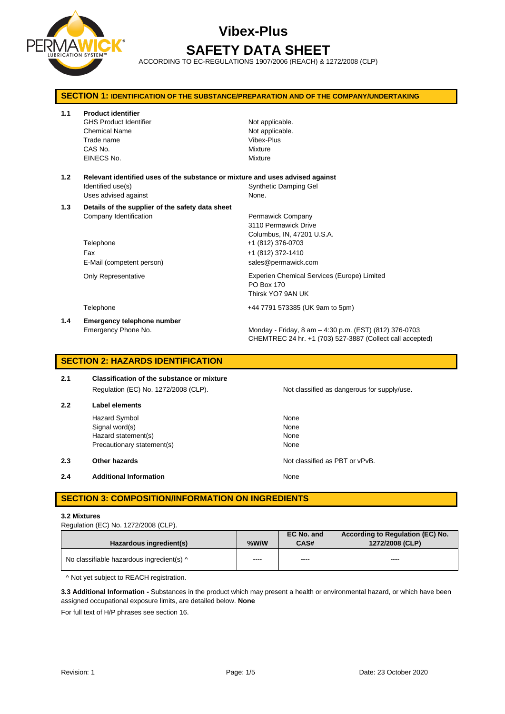

# **Vibex-Plus SAFETY DATA SHEET**

ACCORDING TO EC-REGULATIONS 1907/2006 (REACH) & 1272/2008 (CLP)

|     | <b>SECTION 1: IDENTIFICATION OF THE SUBSTANCE/PREPARATION AND OF THE COMPANY/UNDERTAKING</b>                               |                                                                                                                     |  |  |
|-----|----------------------------------------------------------------------------------------------------------------------------|---------------------------------------------------------------------------------------------------------------------|--|--|
| 1.1 | <b>Product identifier</b><br><b>GHS Product Identifier</b><br><b>Chemical Name</b><br>Trade name<br>CAS No.<br>EINECS No.  | Not applicable.<br>Not applicable.<br>Vibex-Plus<br>Mixture<br>Mixture                                              |  |  |
| 1.2 | Relevant identified uses of the substance or mixture and uses advised against<br>Identified use(s)<br>Uses advised against | Synthetic Damping Gel<br>None.                                                                                      |  |  |
| 1.3 | Details of the supplier of the safety data sheet<br>Company Identification<br>Telephone                                    | Permawick Company<br>3110 Permawick Drive<br>Columbus, IN, 47201 U.S.A.<br>+1 (812) 376-0703                        |  |  |
|     | Fax<br>E-Mail (competent person)                                                                                           | +1 (812) 372-1410<br>sales@permawick.com                                                                            |  |  |
|     | <b>Only Representative</b>                                                                                                 | Experien Chemical Services (Europe) Limited<br>PO Box 170<br>Thirsk YO7 9AN UK                                      |  |  |
|     | Telephone                                                                                                                  | +44 7791 573385 (UK 9am to 5pm)                                                                                     |  |  |
| 1.4 | <b>Emergency telephone number</b><br>Emergency Phone No.                                                                   | Monday - Friday, 8 am - 4:30 p.m. (EST) (812) 376-0703<br>CHEMTREC 24 hr. +1 (703) 527-3887 (Collect call accepted) |  |  |

## **SECTION 2: HAZARDS IDENTIFICATION**

| 2.1 | <b>Classification of the substance or mixture</b> |                                             |  |  |  |
|-----|---------------------------------------------------|---------------------------------------------|--|--|--|
|     | Regulation (EC) No. 1272/2008 (CLP).              | Not classified as dangerous for supply/use. |  |  |  |
| 2.2 | Label elements                                    |                                             |  |  |  |
|     | <b>Hazard Symbol</b>                              | None                                        |  |  |  |
|     | Signal word(s)                                    | None                                        |  |  |  |
|     | Hazard statement(s)                               | None                                        |  |  |  |

**2.3 Other hazards Details According to the COVID-100 Motion COVID-100 Motion COVID-100 Motion COVID-100 Motion COVID-100 Motion COVID-100 Motion COVID-100 Motion COVID-100 Motion COVID-100 Motion COVID-100 Motion COVI** 

**2.4 Additional Information None** 

## **SECTION 3: COMPOSITION/INFORMATION ON INGREDIENTS**

Precautionary statement(s) None

#### **3.2 Mixtures**

Regulation (EC) No. 1272/2008 (CLP).

| Hazardous ingredient(s)                   | $%$ W/W | EC No. and<br>CAS# | According to Regulation (EC) No.<br>1272/2008 (CLP) |
|-------------------------------------------|---------|--------------------|-----------------------------------------------------|
| No classifiable hazardous ingredient(s) ^ | ----    | ----               | $\cdots$                                            |

^ Not yet subject to REACH registration.

**3.3 Additional Information -** Substances in the product which may present a health or environmental hazard, or which have been assigned occupational exposure limits, are detailed below. **None**

For full text of H/P phrases see section 16.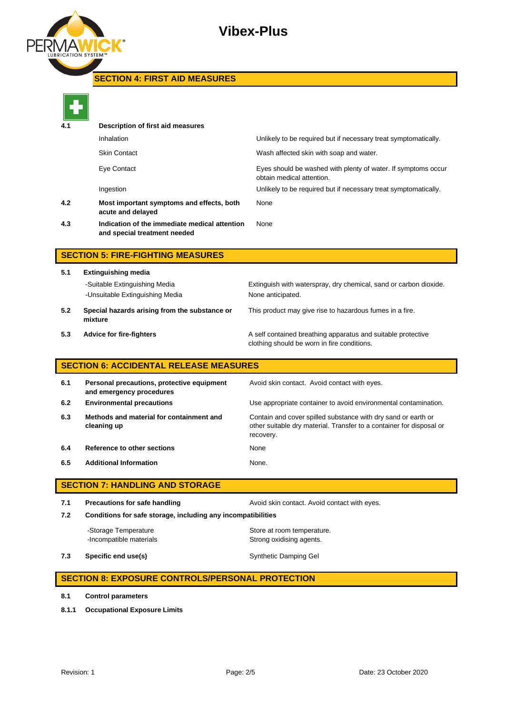

## **SECTION 4: FIRST AID MEASURES**



| 4.1 | Description of first aid measures                                             |                                                                                            |
|-----|-------------------------------------------------------------------------------|--------------------------------------------------------------------------------------------|
|     | Inhalation                                                                    | Unlikely to be required but if necessary treat symptomatically.                            |
|     | <b>Skin Contact</b>                                                           | Wash affected skin with soap and water.                                                    |
|     | Eye Contact                                                                   | Eyes should be washed with plenty of water. If symptoms occur<br>obtain medical attention. |
|     | Ingestion                                                                     | Unlikely to be required but if necessary treat symptomatically.                            |
| 4.2 | Most important symptoms and effects, both<br>acute and delayed                | None                                                                                       |
| 4.3 | Indication of the immediate medical attention<br>and special treatment needed | None                                                                                       |
|     |                                                                               |                                                                                            |

## **SECTION 5: FIRE-FIGHTING MEASURES**

**5.1 Extinguishing media** -Suitable Extinguishing Media Extinguish with waterspray, dry chemical, sand or carbon dioxide. -Unsuitable Extinguishing Media None anticipated. **5.2 Special hazards arising from the substance or mixture**

This product may give rise to hazardous fumes in a fire.

**5.3 Advice for fire-fighters A self** contained breathing apparatus and suitable protective clothing should be worn in fire conditions.

## **SECTION 6: ACCIDENTAL RELEASE MEASURES**

| 6.1 | Personal precautions, protective equipment<br>and emergency procedures | Avoid skin contact. Avoid contact with eyes.                                                                                                       |
|-----|------------------------------------------------------------------------|----------------------------------------------------------------------------------------------------------------------------------------------------|
| 6.2 | <b>Environmental precautions</b>                                       | Use appropriate container to avoid environmental contamination.                                                                                    |
| 6.3 | Methods and material for containment and<br>cleaning up                | Contain and cover spilled substance with dry sand or earth or<br>other suitable dry material. Transfer to a container for disposal or<br>recovery. |
| 6.4 | Reference to other sections                                            | None                                                                                                                                               |
| 6.5 | <b>Additional Information</b>                                          | None.                                                                                                                                              |

## **SECTION 7: HANDLING AND STORAGE**

**7.1 Precautions for safe handling Avoid skin contact. Avoid contact with eyes. 7.2 Conditions for safe storage, including any incompatibilities** -Storage Temperature **Store at room temperature.** 

-Incompatible materials **Strong oxidising agents**.

**7.3 Specific end use(s) Synthetic Damping Gel Synthetic Damping Gel** 

## **SECTION 8: EXPOSURE CONTROLS/PERSONAL PROTECTION**

- **8.1 Control parameters**
- **8.1.1 Occupational Exposure Limits**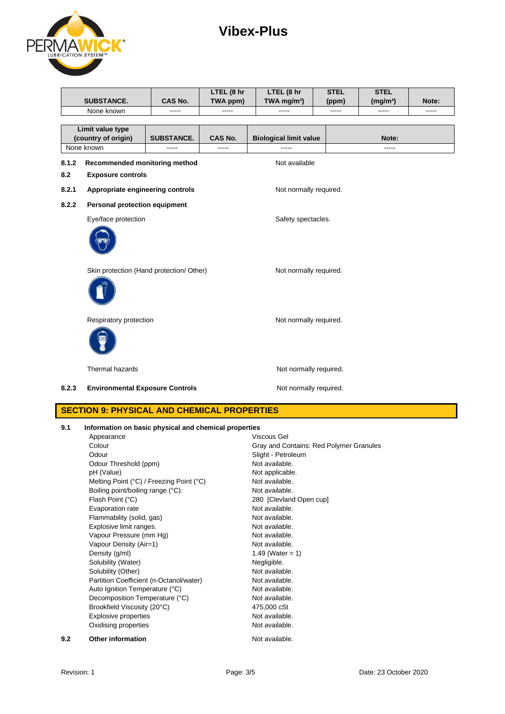## **Vibex-Plus**



|                  |                                          |                   | LTEL (8 hr  | LTEL (8 hr                    | <b>STEL</b>        | <b>STEL</b>          |       |
|------------------|------------------------------------------|-------------------|-------------|-------------------------------|--------------------|----------------------|-------|
|                  | <b>SUBSTANCE.</b>                        | <b>CAS No.</b>    | TWA ppm)    | TWA mg/m <sup>3</sup> )       | (ppm)              | (mg/m <sup>3</sup> ) | Note: |
|                  | None known                               | -----             | -----       | -----                         | -----              | -----                | ----- |
|                  |                                          |                   |             |                               |                    |                      |       |
| Limit value type |                                          |                   |             |                               |                    |                      |       |
|                  | (country of origin)                      | <b>SUBSTANCE.</b> | CAS No.     | <b>Biological limit value</b> |                    | Note:                |       |
|                  | None known                               | -----             | $- - - - -$ | -----                         |                    | -----                |       |
| 8.1.2            | Recommended monitoring method            |                   |             | Not available                 |                    |                      |       |
| 8.2              | <b>Exposure controls</b>                 |                   |             |                               |                    |                      |       |
| 8.2.1            | Appropriate engineering controls         |                   |             | Not normally required.        |                    |                      |       |
| 8.2.2            | Personal protection equipment            |                   |             |                               |                    |                      |       |
|                  | Eye/face protection                      |                   |             |                               | Safety spectacles. |                      |       |
|                  |                                          |                   |             |                               |                    |                      |       |
|                  | Skin protection (Hand protection/ Other) |                   |             | Not normally required.        |                    |                      |       |
|                  |                                          |                   |             |                               |                    |                      |       |
|                  | Respiratory protection                   |                   |             | Not normally required.        |                    |                      |       |
|                  |                                          |                   |             |                               |                    |                      |       |
|                  | Thermal hazards                          |                   |             | Not normally required.        |                    |                      |       |
| 8.2.3            | <b>Environmental Exposure Controls</b>   |                   |             | Not normally required.        |                    |                      |       |

## **SECTION 9: PHYSICAL AND CHEMICAL PROPERTIES**

#### **9.1 Information on basic physical and chemical properties**

|     | Appearance                               | Viscous Gel                             |
|-----|------------------------------------------|-----------------------------------------|
|     | Colour                                   | Gray and Contains: Red Polymer Granules |
|     | Odour                                    | Slight - Petroleum                      |
|     | Odour Threshold (ppm)                    | Not available.                          |
|     | pH (Value)                               | Not applicable.                         |
|     | Melting Point (°C) / Freezing Point (°C) | Not available.                          |
|     | Boiling point/boiling range (°C):        | Not available.                          |
|     | Flash Point (°C)                         | 280 [Clevland Open cup]                 |
|     | Evaporation rate                         | Not available.                          |
|     | Flammability (solid, gas)                | Not available.                          |
|     | Explosive limit ranges.                  | Not available.                          |
|     | Vapour Pressure (mm Hg)                  | Not available.                          |
|     | Vapour Density (Air=1)                   | Not available.                          |
|     | Density (g/ml)                           | 1.49 (Water = 1)                        |
|     | Solubility (Water)                       | Negligible.                             |
|     | Solubility (Other)                       | Not available.                          |
|     | Partition Coefficient (n-Octanol/water)  | Not available.                          |
|     | Auto Ignition Temperature (°C)           | Not available.                          |
|     | Decomposition Temperature (°C)           | Not available.                          |
|     | Brookfield Viscosity (20°C)              | 475,000 cSt                             |
|     | Explosive properties                     | Not available.                          |
|     | Oxidising properties                     | Not available.                          |
| 9.2 | <b>Other information</b>                 | Not available.                          |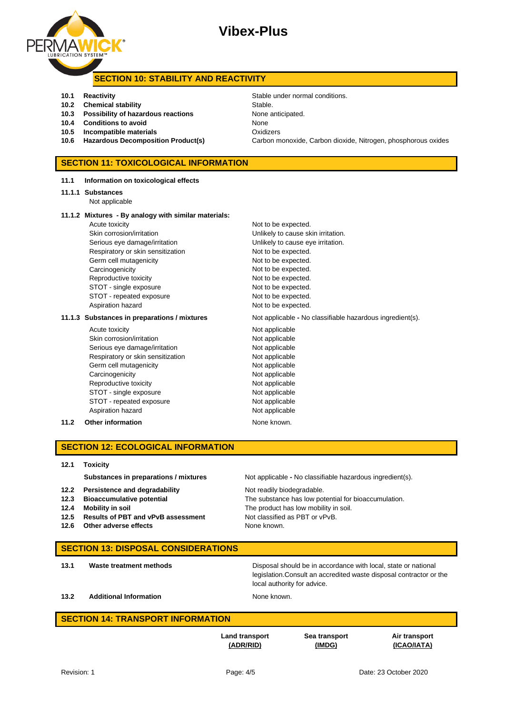

## **Vibex-Plus**

#### **SECTION 10: STABILITY AND REACTIVITY**

- **10.1 Reactivity** Reactivity **Reactivity** Stable under normal conditions.
- **10.2 Chemical stability** Stable.
- **10.3 Possibility of hazardous reactions** None anticipated.
- **10.4 Conditions to avoid** None
- **10.5 Incompatible materials** Oxidizers
- 

**11.1 Information on toxicological effects**

#### **SECTION 11: TOXICOLOGICAL INFORMATION**

| 11.1.1 Substances<br>Not applicable                  |                                                           |
|------------------------------------------------------|-----------------------------------------------------------|
| 11.1.2 Mixtures - By analogy with similar materials: |                                                           |
| Acute toxicity                                       | Not to be expected.                                       |
| Skin corrosion/irritation                            | Unlikely to cause skin irritation.                        |
| Serious eye damage/irritation                        | Unlikely to cause eye irritation.                         |
| Respiratory or skin sensitization                    | Not to be expected.                                       |
| Germ cell mutagenicity                               | Not to be expected.                                       |
| Carcinogenicity                                      | Not to be expected.                                       |
| Reproductive toxicity                                | Not to be expected.                                       |
| STOT - single exposure                               | Not to be expected.                                       |
| STOT - repeated exposure                             | Not to be expected.                                       |
| Aspiration hazard                                    | Not to be expected.                                       |
| 11.1.3 Substances in preparations / mixtures         | Not applicable - No classifiable hazardous ingredient(s). |
| Acute toxicity                                       | Not applicable                                            |
| Skin corrosion/irritation                            | Not applicable                                            |
| Serious eye damage/irritation                        | Not applicable                                            |
| Respiratory or skin sensitization                    | Not applicable                                            |
| Germ cell mutagenicity                               | Not applicable                                            |
| Carcinogenicity                                      | Not applicable                                            |
| Reproductive toxicity                                | Not applicable                                            |
| STOT - single exposure                               | Not applicable                                            |
| STOT - repeated exposure                             | Not applicable                                            |
| Aspiration hazard                                    | Not applicable                                            |

#### **11.2 Other information** None known.

#### **SECTION 12: ECOLOGICAL INFORMATION**

#### **12.1 Toxicity**

**Substances in preparations / mixtures** Not applicable - No classifiable hazardous ingredient(s).

- **12.2 Persistence and degradability** Not readily biodegradable.
- 
- 
- **12.5 Results of PBT and vPvB assessment** Not classified as PBT or vPvB.
- **12.6 Other adverse effects None known.**

**12.3 Bioaccumulative potential** The substance has low potential for bioaccumulation. **12.4 Mobility in soil** The product has low mobility in soil.

#### **SECTION 13: DISPOSAL CONSIDERATIONS**

**13.1 Waste treatment methods Disposal should be in accordance with local, state or national** legislation.Consult an accredited waste disposal contractor or the local authority for advice.

**13.2 Additional Information None known.** 

#### **SECTION 14: TRANSPORT INFORMATION**

**Land transport (ADR/RID)**

**Sea transport (IMDG)**

**Air transport (ICAO/IATA)**

**10.6 Hazardous Decomposition Product(s)** Carbon monoxide, Carbon dioxide, Nitrogen, phosphorous oxides